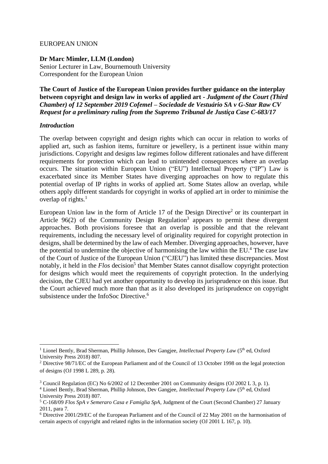## EUROPEAN UNION

**Dr Marc Mimler, LLM (London)** Senior Lecturer in Law, Bournemouth University Correspondent for the European Union

**The Court of Justice of the European Union provides further guidance on the interplay between copyright and design law in works of applied art -** *Judgment of the Court (Third Chamber) of 12 September 2019 Cofemel – Sociedade de Vestuário SA v G-Star Raw CV Request for a preliminary ruling from the Supremo Tribunal de Justiça Case C-683/17* 

## *Introduction*

The overlap between copyright and design rights which can occur in relation to works of applied art, such as fashion items, furniture or jewellery, is a pertinent issue within many jurisdictions. Copyright and designs law regimes follow different rationales and have different requirements for protection which can lead to unintended consequences where an overlap occurs. The situation within European Union ("EU") Intellectual Property ("IP") Law is exacerbated since its Member States have diverging approaches on how to regulate this potential overlap of IP rights in works of applied art. Some States allow an overlap, while others apply different standards for copyright in works of applied art in order to minimise the overlap of rights. $<sup>1</sup>$ </sup>

European Union law in the form of Article 17 of the Design Directive<sup>2</sup> or its counterpart in Article  $96(2)$  of the Community Design Regulation<sup>3</sup> appears to permit these divergent approaches. Both provisions foresee that an overlap is possible and that the relevant requirements, including the necessary level of originality required for copyright protection in designs, shall be determined by the law of each Member. Diverging approaches, however, have the potential to undermine the objective of harmonising the law within the EU.<sup>4</sup> The case law of the Court of Justice of the European Union ("CJEU") has limited these discrepancies. Most notably, it held in the *Flos* decision<sup>5</sup> that Member States cannot disallow copyright protection for designs which would meet the requirements of copyright protection. In the underlying decision, the CJEU had yet another opportunity to develop its jurisprudence on this issue. But the Court achieved much more than that as it also developed its jurisprudence on copyright subsistence under the InfoSoc Directive.<sup>6</sup>

<sup>&</sup>lt;sup>1</sup> Lionel Bently, Brad Sherman, Phillip Johnson, Dev Gangjee, *Intellectual Property Law* (5<sup>th</sup> ed, Oxford University Press 2018) 807.

<sup>2</sup> Directive 98/71/EC of the European Parliament and of the Council of 13 October 1998 on the legal protection of designs (OJ 1998 L 289, p. 28).

<sup>3</sup> Council Regulation (EC) No 6/2002 of 12 December 2001 on Community designs (OJ 2002 L 3, p. 1).

<sup>&</sup>lt;sup>4</sup> Lionel Bently, Brad Sherman, Phillip Johnson, Dev Gangjee, *Intellectual Property Law* (5<sup>th</sup> ed, Oxford University Press 2018) 807.

<sup>5</sup> C-168/09 *Flos SpA v Semeraro Casa e Famiglia SpA,* Judgment of the Court (Second Chamber) 27 January 2011, para 7.

<sup>6</sup> Directive 2001/29/EC of the European Parliament and of the Council of 22 May 2001 on the harmonisation of certain aspects of copyright and related rights in the information society (OJ 2001 L 167, p. 10).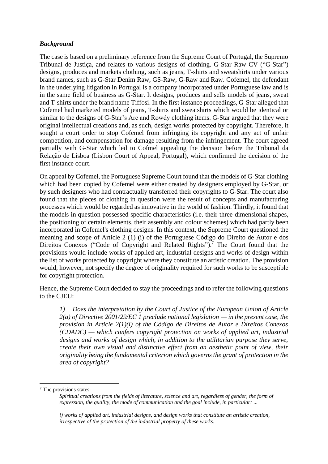# *Background*

The case is based on a preliminary reference from the Supreme Court of Portugal, the Supremo Tribunal de Justiça, and relates to various designs of clothing. G-Star Raw CV ("G-Star") designs, produces and markets clothing, such as jeans, T-shirts and sweatshirts under various brand names, such as G-Star Denim Raw, GS-Raw, G-Raw and Raw. Cofemel, the defendant in the underlying litigation in Portugal is a company incorporated under Portuguese law and is in the same field of business as G-Star. It designs, produces and sells models of jeans, sweat and T-shirts under the brand name Tiffosi. In the first instance proceedings, G-Star alleged that Cofemel had marketed models of jeans, T-shirts and sweatshirts which would be identical or similar to the designs of G-Star's Arc and Rowdy clothing items. G-Star argued that they were original intellectual creations and, as such, design works protected by copyright. Therefore, it sought a court order to stop Cofemel from infringing its copyright and any act of unfair competition, and compensation for damage resulting from the infringement. The court agreed partially with G-Star which led to Cofmel appealing the decision before the Tribunal da Relação de Lisboa (Lisbon Court of Appeal, Portugal), which confirmed the decision of the first instance court.

On appeal by Cofemel, the Portuguese Supreme Court found that the models of G-Star clothing which had been copied by Cofemel were either created by designers employed by G-Star, or by such designers who had contractually transferred their copyrights to G-Star. The court also found that the pieces of clothing in question were the result of concepts and manufacturing processes which would be regarded as innovative in the world of fashion. Thirdly, it found that the models in question possessed specific characteristics (i.e. their three-dimensional shapes, the positioning of certain elements, their assembly and colour schemes) which had partly been incorporated in Cofemel's clothing designs. In this context, the Supreme Court questioned the meaning and scope of Article 2 (1) (i) of the Portuguese Código do Direito de Autor e dos Direitos Conexos ("Code of Copyright and Related Rights").<sup>7</sup> The Court found that the provisions would include works of applied art, industrial designs and works of design within the list of works protected by copyright where they constitute an artistic creation. The provision would, however, not specify the degree of originality required for such works to be susceptible for copyright protection.

Hence, the Supreme Court decided to stay the proceedings and to refer the following questions to the CJEU:

*1) Does the interpretation by the Court of Justice of the European Union of Article 2(a) of Directive 2001/29/EC 1 preclude national legislation — in the present case, the provision in Article 2(1)(i) of the Código de Direitos de Autor e Direitos Conexos (CDADC) — which confers copyright protection on works of applied art, industrial designs and works of design which, in addition to the utilitarian purpose they serve, create their own visual and distinctive effect from an aesthetic point of view, their originality being the fundamental criterion which governs the grant of protection in the area of copyright?*

<sup>7</sup> The provisions states:

*Spiritual creations from the fields of literature, science and art, regardless of gender, the form of expression, the quality, the mode of communication and the goal include, in particular: ...*

*i) works of applied art, industrial designs, and design works that constitute an artistic creation, irrespective of the protection of the industrial property of these works*.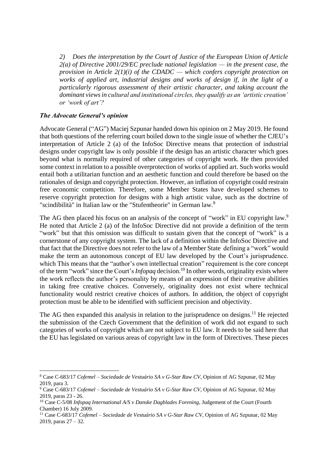*2) Does the interpretation by the Court of Justice of the European Union of Article 2(a) of Directive 2001/29/EC preclude national legislation — in the present case, the provision in Article 2(1)(i) of the CDADC — which confers copyright protection on works of applied art, industrial designs and works of design if, in the light of a particularly rigorous assessment of their artistic character, and taking account the dominant views in cultural and institutional circles, they qualify as an 'artistic creation' or 'work of art'?*

## *The Advocate General's opinion*

Advocate General ("AG") Maciej Szpunar handed down his opinion on 2 May 2019. He found that both questions of the referring court boiled down to the single issue of whether the CJEU's interpretation of Article 2 (a) of the InfoSoc Directive means that protection of industrial designs under copyright law is only possible if the design has an artistic character which goes beyond what is normally required of other categories of copyright work. He then provided some context in relation to a possible overprotection of works of applied art. Such works would entail both a utilitarian function and an aesthetic function and could therefore be based on the rationales of design and copyright protection. However, an inflation of copyright could restrain free economic competition. Therefore, some Member States have developed schemes to reserve copyright protection for designs with a high artistic value, such as the doctrine of "scindibilità" in Italian law or the "Stufentheorie" in German law.<sup>8</sup>

The AG then placed his focus on an analysis of the concept of "work" in EU copyright law.<sup>9</sup> He noted that Article 2 (a) of the InfoSoc Directive did not provide a definition of the term "work" but that this omission was difficult to sustain given that the concept of "work" is a cornerstone of any copyright system. The lack of a definition within the InfoSoc Directive and that fact that the Directive does not refer to the law of a Member State defining a "work" would make the term an autonomous concept of EU law developed by the Court's jurisprudence. which This means that the "author's own intellectual creation" requirement is the core concept of the term "work" since the Court's*Infopaq* decision. <sup>10</sup> In other words, originality exists where the work reflects the author's personality by means of an expression of their creative abilities in taking free creative choices. Conversely, originality does not exist where technical functionality would restrict creative choices of authors. In addition, the object of copyright protection must be able to be identified with sufficient precision and objectivity.

The AG then expanded this analysis in relation to the jurisprudence on designs.<sup>11</sup> He rejected the submission of the Czech Government that the definition of work did not expand to such categories of works of copyright which are not subject to EU law. It needs to be said here that the EU has legislated on various areas of copyright law in the form of Directives. These pieces

<sup>8</sup> Case C-683/17 *Cofemel – Sociedade de Vestuário SA v G-Star Raw CV*, Opinion of AG Szpunar, 02 May 2019, para 3.

<sup>9</sup> Case C-683/17 *Cofemel – Sociedade de Vestuário SA v G-Star Raw CV*, Opinion of AG Szpunar, 02 May 2019, paras 23 - 26.

<sup>10</sup> Case C-5/08 *Infopaq International A/S v Danske Dagblades Forening*, Judgement of the Court (Fourth Chamber) 16 July 2009.

<sup>11</sup> Case C-683/17 *Cofemel – Sociedade de Vestuário SA v G-Star Raw CV*, Opinion of AG Szpunar, 02 May 2019, paras 27 – 32.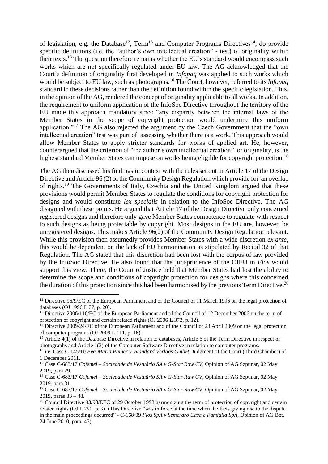of legislation, e.g. the Database<sup>12</sup>, Term<sup>13</sup> and Computer Programs Directives<sup>14</sup>, do provide specific definitions (i.e. the "author's own intellectual creation" - test) of originality within their texts.<sup>15</sup> The question therefore remains whether the EU's standard would encompass such works which are not specifically regulated under EU law. The AG acknowledged that the Court's definition of originality first developed in *Infopaq* was applied to such works which would be subject to EU law, such as photographs. <sup>16</sup> The Court, however, referred to its *Infopaq* standard in these decisions rather than the definition found within the specific legislation. This, in the opinion of the AG, rendered the concept of originality applicable to all works. In addition, the requirement to uniform application of the InfoSoc Directive throughout the territory of the EU made this approach mandatory since "any disparity between the internal laws of the Member States in the scope of copyright protection would undermine this uniform application."<sup>17</sup> The AG also rejected the argument by the Czech Government that the "own intellectual creation" test was part of assessing whether there is a work. This approach would allow Member States to apply stricter standards for works of applied art. He, however, counterargued that the criterion of "the author's own intellectual creation", or originality, isthe highest standard Member States can impose on works being eligible for copyright protection.<sup>18</sup>

The AG then discussed his findings in context with the rules set out in Article 17 of the Design Directive and Article 96 (2) of the Community Design Regulation which provide for an overlap of rights.<sup>19</sup> The Governments of Italy, Czechia and the United Kingdom argued that these provisions would permit Member States to regulate the conditions for copyright protection for designs and would constitute *lex specialis* in relation to the InfoSoc Directive. The AG disagreed with these points. He argued that Article 17 of the Design Directive only concerned registered designs and therefore only gave Member States competence to regulate with respect to such designs as being protectable by copyright. Most designs in the EU are, however, be unregistered designs. This makes Article 96(2) of the Community Design Regulation relevant. While this provision then assumedly provides Member States with a wide discretion *ex ante*, this would be dependent on the lack of EU harmonisation as stipulated by Recital 32 of that Regulation. The AG stated that this discretion had been lost with the corpus of law provided by the InfoSoc Directive. He also found that the jurisprudence of the CJEU in *Flos* would support this view. There, the Court of Justice held that Member States had lost the ability to determine the scope and conditions of copyright protection for designs where this concerned the duration of this protection since this had been harmonised by the previous Term Directive.<sup>20</sup>

<sup>&</sup>lt;sup>12</sup> Directive 96/9/EC of the European Parliament and of the Council of 11 March 1996 on the legal protection of databases (OJ 1996 L 77, p. 20).

<sup>&</sup>lt;sup>13</sup> Directive 2006/116/EC of the European Parliament and of the Council of 12 December 2006 on the term of protection of copyright and certain related rights (OJ 2006 L 372, p. 12).

<sup>&</sup>lt;sup>14</sup> Directive 2009/24/EC of the European Parliament and of the Council of 23 April 2009 on the legal protection of computer programs (OJ 2009 L 111, p. 16).

<sup>&</sup>lt;sup>15</sup> Article 4(1) of the Database Directive in relation to databases, Article 6 of the Term Directive in respect of photographs and Article 1(3) of the Computer Software Directive in relation to computer programs.

<sup>16</sup> i.e. Case C-145/10 *Eva-Maria Painer v. Standard Verlags GmbH*, Judgment of the Court (Third Chamber) of 1 December 2011.

<sup>17</sup> Case C-683/17 *Cofemel – Sociedade de Vestuário SA v G-Star Raw CV*, Opinion of AG Szpunar, 02 May 2019, para 29.

<sup>18</sup> Case C-683/17 *Cofemel – Sociedade de Vestuário SA v G-Star Raw CV*, Opinion of AG Szpunar, 02 May 2019, para 31.

<sup>19</sup> Case C-683/17 *Cofemel – Sociedade de Vestuário SA v G-Star Raw CV*, Opinion of AG Szpunar, 02 May 2019, paras 33 – 48.

<sup>&</sup>lt;sup>20</sup> Council Directive 93/98/EEC of 29 October 1993 harmonizing the term of protection of copyright and certain related rights (OJ L 290, p. 9). (This Directive "was in force at the time when the facts giving rise to the dispute in the main proceedings occurred" - C-168/09 *Flos SpA v Semeraro Casa e Famiglia SpA*, Opinion of AG Bot, 24 June 2010, para 43).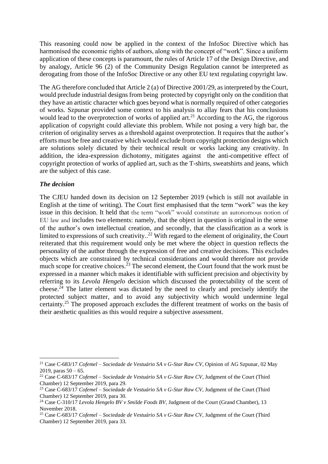This reasoning could now be applied in the context of the InfoSoc Directive which has harmonised the economic rights of authors, along with the concept of "work". Since a uniform application of these concepts is paramount, the rules of Article 17 of the Design Directive, and by analogy, Article 96 (2) of the Community Design Regulation cannot be interpreted as derogating from those of the InfoSoc Directive or any other EU text regulating copyright law.

The AG therefore concluded that Article 2 (a) of Directive 2001/29, as interpreted by the Court, would preclude industrial designs from being protected by copyright only on the condition that they have an artistic character which goes beyond what is normally required of other categories of works. Szpunar provided some context to his analysis to allay fears that his conclusions would lead to the overprotection of works of applied art.<sup>21</sup> According to the AG, the rigorous application of copyright could alleviate this problem. While not posing a very high bar, the criterion of originality serves as a threshold against overprotection. It requires that the author's efforts must be free and creative which would exclude from copyright protection designs which are solutions solely dictated by their technical result or works lacking any creativity. In addition, the idea-expression dichotomy, mitigates against the anti-competitive effect of copyright protection of works of applied art, such as the T-shirts, sweatshirts and jeans, which are the subject of this case.

#### *The decision*

The CJEU handed down its decision on 12 September 2019 (which is still not available in English at the time of writing). The Court first emphasised that the term "work" was the key issue in this decision. It held that the term "work" would constitute an autonomous notion of EU law and includes two elements: namely, that the object in question is original in the sense of the author's own intellectual creation, and secondly, that the classification as a work is limited to expressions of such creativity..<sup>22</sup> With regard to the element of originality, the Court reiterated that this requirement would only be met where the object in question reflects the personality of the author through the expression of free and creative decisions. This excludes objects which are constrained by technical considerations and would therefore not provide much scope for creative choices.<sup>23</sup> The second element, the Court found that the work must be expressed in a manner which makes it identifiable with sufficient precision and objectivity by referring to its *Levola Hengelo* decision which discussed the protectability of the scent of cheese.<sup> $24$ </sup> The latter element was dictated by the need to clearly and precisely identify the protected subject matter, and to avoid any subjectivity which would undermine legal certainty.<sup>25</sup> The proposed approach excludes the different treatment of works on the basis of their aesthetic qualities as this would require a subjective assessment.

<sup>21</sup> Case C-683/17 *Cofemel – Sociedade de Vestuário SA v G-Star Raw CV*, Opinion of AG Szpunar, 02 May 2019, paras  $50 - 65$ .

<sup>22</sup> Case C-683/17 *Cofemel – Sociedade de Vestuário SA v G-Star Raw CV,* Judgment of the Court (Third Chamber) 12 September 2019, para 29.

<sup>23</sup> Case C-683/17 *Cofemel – Sociedade de Vestuário SA v G-Star Raw CV,* Judgment of the Court (Third Chamber) 12 September 2019, para 30.

<sup>&</sup>lt;sup>24</sup> Case C-310/17 *Levola Hengelo BV v Smilde Foods BV*, Judgment of the Court (Grand Chamber), 13 November 2018.

<sup>25</sup> Case C-683/17 *Cofemel – Sociedade de Vestuário SA v G-Star Raw CV,* Judgment of the Court (Third Chamber) 12 September 2019, para 33.